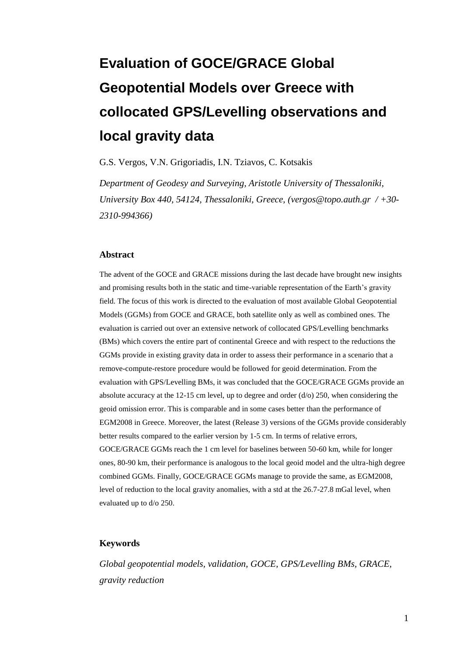# **Evaluation of GOCE/GRACE Global Geopotential Models over Greece with collocated GPS/Levelling observations and local gravity data**

G.S. Vergos, V.N. Grigoriadis, I.N. Tziavos, C. Kotsakis

*Department of Geodesy and Surveying, Aristotle University of Thessaloniki, University Box 440, 54124, Thessaloniki, Greece, [\(vergos@topo.auth.gr](mailto:vergos@topo.authg.gr) / +30- 2310-994366)*

#### **Abstract**

The advent of the GOCE and GRACE missions during the last decade have brought new insights and promising results both in the static and time-variable representation of the Earth's gravity field. The focus of this work is directed to the evaluation of most available Global Geopotential Models (GGMs) from GOCE and GRACE, both satellite only as well as combined ones. The evaluation is carried out over an extensive network of collocated GPS/Levelling benchmarks (BMs) which covers the entire part of continental Greece and with respect to the reductions the GGMs provide in existing gravity data in order to assess their performance in a scenario that a remove-compute-restore procedure would be followed for geoid determination. From the evaluation with GPS/Levelling BMs, it was concluded that the GOCE/GRACE GGMs provide an absolute accuracy at the 12-15 cm level, up to degree and order ( $d$ /o) 250, when considering the geoid omission error. This is comparable and in some cases better than the performance of EGM2008 in Greece. Moreover, the latest (Release 3) versions of the GGMs provide considerably better results compared to the earlier version by 1-5 cm. In terms of relative errors, GOCE/GRACE GGMs reach the 1 cm level for baselines between 50-60 km, while for longer ones, 80-90 km, their performance is analogous to the local geoid model and the ultra-high degree combined GGMs. Finally, GOCE/GRACE GGMs manage to provide the same, as EGM2008, level of reduction to the local gravity anomalies, with a std at the 26.7-27.8 mGal level, when evaluated up to d/o 250.

#### **Keywords**

*Global geopotential models, validation, GOCE, GPS/Levelling BMs, GRACE, gravity reduction*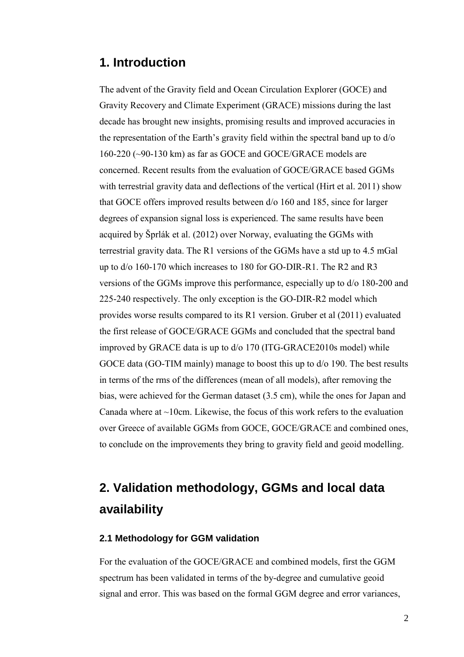### **1. Introduction**

The advent of the Gravity field and Ocean Circulation Explorer (GOCE) and Gravity Recovery and Climate Experiment (GRACE) missions during the last decade has brought new insights, promising results and improved accuracies in the representation of the Earth's gravity field within the spectral band up to d/o 160-220 (~90-130 km) as far as GOCE and GOCE/GRACE models are concerned. Recent results from the evaluation of GOCE/GRACE based GGMs with terrestrial gravity data and deflections of the vertical (Hirt et al. 2011) show that GOCE offers improved results between d/o 160 and 185, since for larger degrees of expansion signal loss is experienced. The same results have been acquired by Šprlák et al. (2012) over Norway, evaluating the GGMs with terrestrial gravity data. The R1 versions of the GGMs have a std up to 4.5 mGal up to d/o 160-170 which increases to 180 for GO-DIR-R1. The R2 and R3 versions of the GGMs improve this performance, especially up to d/o 180-200 and 225-240 respectively. The only exception is the GO-DIR-R2 model which provides worse results compared to its R1 version. Gruber et al (2011) evaluated the first release of GOCE/GRACE GGMs and concluded that the spectral band improved by GRACE data is up to d/o 170 (ITG-GRACE2010s model) while GOCE data (GO-TIM mainly) manage to boost this up to  $d/0$  190. The best results in terms of the rms of the differences (mean of all models), after removing the bias, were achieved for the German dataset (3.5 cm), while the ones for Japan and Canada where at  $\sim$ 10cm. Likewise, the focus of this work refers to the evaluation over Greece of available GGMs from GOCE, GOCE/GRACE and combined ones, to conclude on the improvements they bring to gravity field and geoid modelling.

## **2. Validation methodology, GGMs and local data availability**

#### **2.1 Methodology for GGM validation**

For the evaluation of the GOCE/GRACE and combined models, first the GGM spectrum has been validated in terms of the by-degree and cumulative geoid signal and error. This was based on the formal GGM degree and error variances,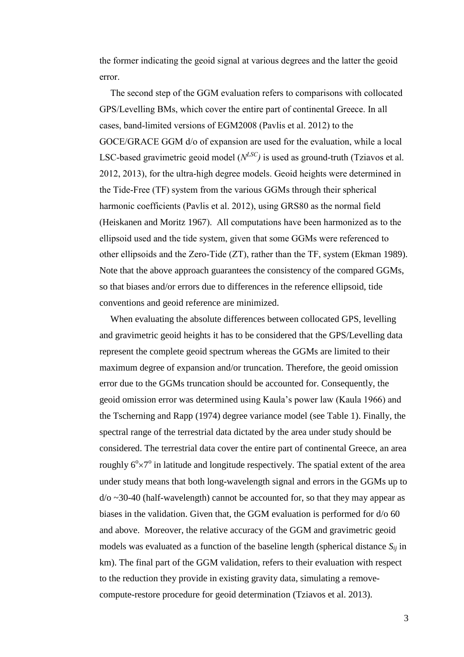the former indicating the geoid signal at various degrees and the latter the geoid error.

The second step of the GGM evaluation refers to comparisons with collocated GPS/Levelling BMs, which cover the entire part of continental Greece. In all cases, band-limited versions of EGM2008 (Pavlis et al. 2012) to the GOCE/GRACE GGM d/o of expansion are used for the evaluation, while a local LSC-based gravimetric geoid model  $(N^{LSC})$  is used as ground-truth (Tziavos et al. 2012, 2013), for the ultra-high degree models. Geoid heights were determined in the Tide-Free (TF) system from the various GGMs through their spherical harmonic coefficients (Pavlis et al. 2012), using GRS80 as the normal field (Heiskanen and Moritz 1967). All computations have been harmonized as to the ellipsoid used and the tide system, given that some GGMs were referenced to other ellipsoids and the Zero-Tide (ZT), rather than the TF, system (Ekman 1989). Note that the above approach guarantees the consistency of the compared GGMs, so that biases and/or errors due to differences in the reference ellipsoid, tide conventions and geoid reference are minimized.

When evaluating the absolute differences between collocated GPS, levelling and gravimetric geoid heights it has to be considered that the GPS/Levelling data represent the complete geoid spectrum whereas the GGMs are limited to their maximum degree of expansion and/or truncation. Therefore, the geoid omission error due to the GGMs truncation should be accounted for. Consequently, the geoid omission error was determined using Kaula's power law (Kaula 1966) and the Tscherning and Rapp (1974) degree variance model (see Table 1). Finally, the spectral range of the terrestrial data dictated by the area under study should be considered. The terrestrial data cover the entire part of continental Greece, an area roughly  $6^{\circ} \times 7^{\circ}$  in latitude and longitude respectively. The spatial extent of the area under study means that both long-wavelength signal and errors in the GGMs up to  $d$ /o  $\sim$ 30-40 (half-wavelength) cannot be accounted for, so that they may appear as biases in the validation. Given that, the GGM evaluation is performed for d/o 60 and above. Moreover, the relative accuracy of the GGM and gravimetric geoid models was evaluated as a function of the baseline length (spherical distance *Sij* in km). The final part of the GGM validation, refers to their evaluation with respect to the reduction they provide in existing gravity data, simulating a removecompute-restore procedure for geoid determination (Tziavos et al. 2013).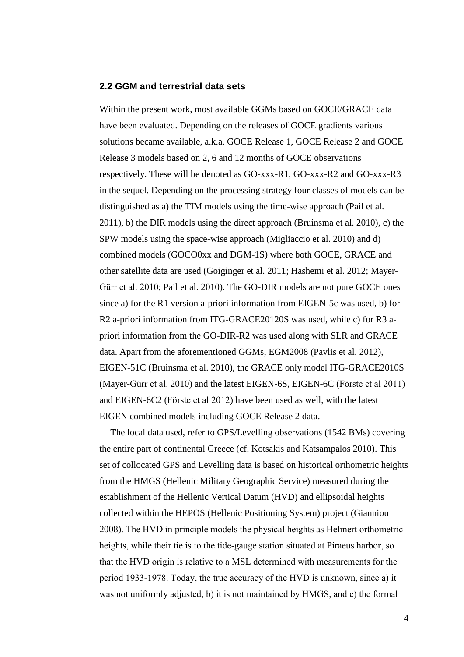#### **2.2 GGM and terrestrial data sets**

Within the present work, most available GGMs based on GOCE/GRACE data have been evaluated. Depending on the releases of GOCE gradients various solutions became available, a.k.a. GOCE Release 1, GOCE Release 2 and GOCE Release 3 models based on 2, 6 and 12 months of GOCE observations respectively. These will be denoted as GO-xxx-R1, GO-xxx-R2 and GO-xxx-R3 in the sequel. Depending on the processing strategy four classes of models can be distinguished as a) the TIM models using the time-wise approach (Pail et al. 2011), b) the DIR models using the direct approach (Bruinsma et al. 2010), c) the SPW models using the space-wise approach (Migliaccio et al. 2010) and d) combined models (GOCO0xx and DGM-1S) where both GOCE, GRACE and other satellite data are used (Goiginger et al. 2011; Hashemi et al. 2012; Mayer-Gürr et al. 2010; Pail et al. 2010). The GO-DIR models are not pure GOCE ones since a) for the R1 version a-priori information from EIGEN-5c was used, b) for R2 a-priori information from ITG-GRACE20120S was used, while c) for R3 apriori information from the GO-DIR-R2 was used along with SLR and GRACE data. Apart from the aforementioned GGMs, EGM2008 (Pavlis et al. 2012), EIGEN-51C (Bruinsma et al. 2010), the GRACE only model ITG-GRACE2010S (Mayer-Gürr et al. 2010) and the latest EIGEN-6S, EIGEN-6C (Förste et al 2011) and EIGEN-6C2 (Förste et al 2012) have been used as well, with the latest EIGEN combined models including GOCE Release 2 data.

The local data used, refer to GPS/Levelling observations (1542 BMs) covering the entire part of continental Greece (cf. Kotsakis and Katsampalos 2010). This set of collocated GPS and Levelling data is based on historical orthometric heights from the HMGS (Hellenic Military Geographic Service) measured during the establishment of the Hellenic Vertical Datum (HVD) and ellipsoidal heights collected within the HEPOS (Hellenic Positioning System) project (Gianniou 2008). The HVD in principle models the physical heights as Helmert orthometric heights, while their tie is to the tide-gauge station situated at Piraeus harbor, so that the HVD origin is relative to a MSL determined with measurements for the period 1933-1978. Today, the true accuracy of the HVD is unknown, since a) it was not uniformly adjusted, b) it is not maintained by HMGS, and c) the formal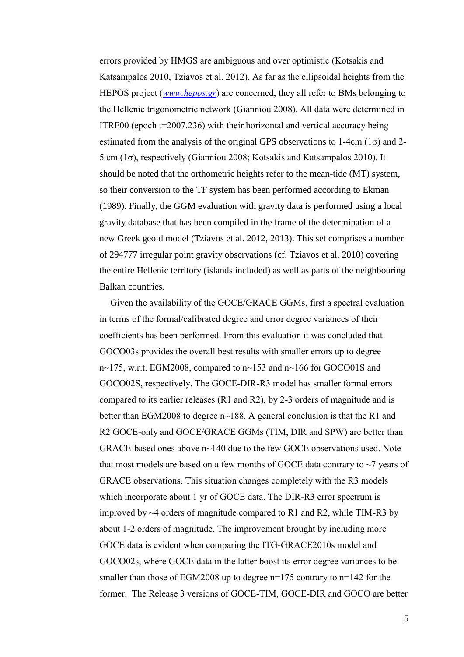errors provided by HMGS are ambiguous and over optimistic (Kotsakis and Katsampalos 2010, Tziavos et al. 2012). As far as the ellipsoidal heights from the HEPOS project (*[www.hepos.gr](http://www.hepos.gr/)*) are concerned, they all refer to BMs belonging to the Hellenic trigonometric network (Gianniou 2008). All data were determined in ITRF00 (epoch t=2007.236) with their horizontal and vertical accuracy being estimated from the analysis of the original GPS observations to 1-4cm  $(1\sigma)$  and 2-5 cm (1σ), respectively (Gianniou 2008; Kotsakis and Katsampalos 2010). It should be noted that the orthometric heights refer to the mean-tide (MT) system, so their conversion to the TF system has been performed according to Ekman (1989). Finally, the GGM evaluation with gravity data is performed using a local gravity database that has been compiled in the frame of the determination of a new Greek geoid model (Tziavos et al. 2012, 2013). This set comprises a number of 294777 irregular point gravity observations (cf. Tziavos et al. 2010) covering the entire Hellenic territory (islands included) as well as parts of the neighbouring Balkan countries.

Given the availability of the GOCE/GRACE GGMs, first a spectral evaluation in terms of the formal/calibrated degree and error degree variances of their coefficients has been performed. From this evaluation it was concluded that GOCO03s provides the overall best results with smaller errors up to degree n~175, w.r.t. EGM2008, compared to n~153 and n~166 for GOCO01S and GOCO02S, respectively. The GOCE-DIR-R3 model has smaller formal errors compared to its earlier releases (R1 and R2), by 2-3 orders of magnitude and is better than EGM2008 to degree n~188. A general conclusion is that the R1 and R2 GOCE-only and GOCE/GRACE GGMs (TIM, DIR and SPW) are better than GRACE-based ones above n~140 due to the few GOCE observations used. Note that most models are based on a few months of GOCE data contrary to  $\sim$ 7 years of GRACE observations. This situation changes completely with the R3 models which incorporate about 1 yr of GOCE data. The DIR-R3 error spectrum is improved by  $\sim$ 4 orders of magnitude compared to R1 and R2, while TIM-R3 by about 1-2 orders of magnitude. The improvement brought by including more GOCE data is evident when comparing the ITG-GRACE2010s model and GOCO02s, where GOCE data in the latter boost its error degree variances to be smaller than those of EGM2008 up to degree n=175 contrary to n=142 for the former. The Release 3 versions of GOCE-TIM, GOCE-DIR and GOCO are better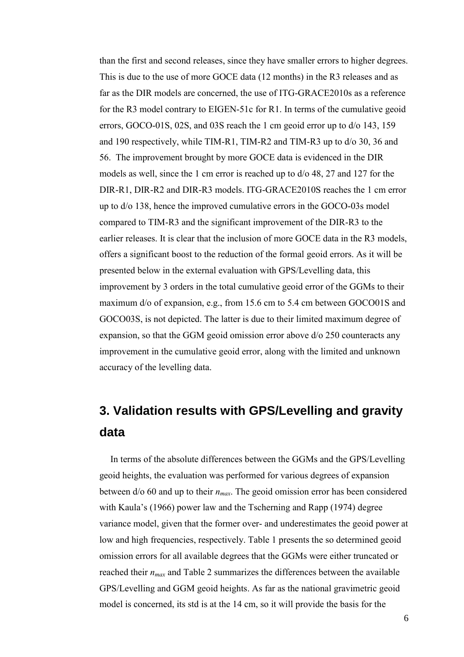than the first and second releases, since they have smaller errors to higher degrees. This is due to the use of more GOCE data (12 months) in the R3 releases and as far as the DIR models are concerned, the use of ITG-GRACE2010s as a reference for the R3 model contrary to EIGEN-51c for R1. In terms of the cumulative geoid errors, GOCO-01S, 02S, and 03S reach the 1 cm geoid error up to d/o 143, 159 and 190 respectively, while TIM-R1, TIM-R2 and TIM-R3 up to d/o 30, 36 and 56. The improvement brought by more GOCE data is evidenced in the DIR models as well, since the 1 cm error is reached up to d/o 48, 27 and 127 for the DIR-R1, DIR-R2 and DIR-R3 models. ITG-GRACE2010S reaches the 1 cm error up to d/o 138, hence the improved cumulative errors in the GOCO-03s model compared to TIM-R3 and the significant improvement of the DIR-R3 to the earlier releases. It is clear that the inclusion of more GOCE data in the R3 models, offers a significant boost to the reduction of the formal geoid errors. As it will be presented below in the external evaluation with GPS/Levelling data, this improvement by 3 orders in the total cumulative geoid error of the GGMs to their maximum d/o of expansion, e.g., from 15.6 cm to 5.4 cm between GOCO01S and GOCO03S, is not depicted. The latter is due to their limited maximum degree of expansion, so that the GGM geoid omission error above d/o 250 counteracts any improvement in the cumulative geoid error, along with the limited and unknown accuracy of the levelling data.

# **3. Validation results with GPS/Levelling and gravity data**

In terms of the absolute differences between the GGMs and the GPS/Levelling geoid heights, the evaluation was performed for various degrees of expansion between d/o 60 and up to their *nmax*. The geoid omission error has been considered with Kaula's (1966) power law and the Tscherning and Rapp (1974) degree variance model, given that the former over- and underestimates the geoid power at low and high frequencies, respectively. Table 1 presents the so determined geoid omission errors for all available degrees that the GGMs were either truncated or reached their *nmax* and Table 2 summarizes the differences between the available GPS/Levelling and GGM geoid heights. As far as the national gravimetric geoid model is concerned, its std is at the 14 cm, so it will provide the basis for the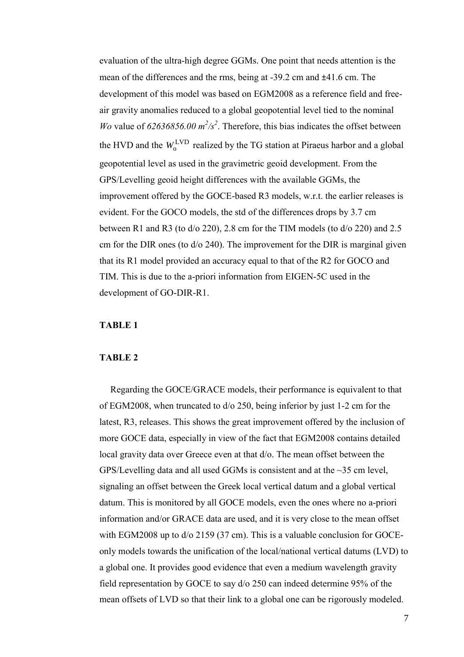evaluation of the ultra-high degree GGMs. One point that needs attention is the mean of the differences and the rms, being at -39.2 cm and ±41.6 cm. The development of this model was based on EGM2008 as a reference field and freeair gravity anomalies reduced to a global geopotential level tied to the nominal *Wo* value of  $62636856.00 \frac{m^2}{s^2}$ . Therefore, this bias indicates the offset between the HVD and the  $W_0^{\text{LVD}}$  realized by the TG station at Piraeus harbor and a global geopotential level as used in the gravimetric geoid development. From the GPS/Levelling geoid height differences with the available GGMs, the improvement offered by the GOCE-based R3 models, w.r.t. the earlier releases is evident. For the GOCO models, the std of the differences drops by 3.7 cm between R1 and R3 (to d/o 220), 2.8 cm for the TIM models (to d/o 220) and 2.5 cm for the DIR ones (to d/o 240). The improvement for the DIR is marginal given that its R1 model provided an accuracy equal to that of the R2 for GOCO and TIM. This is due to the a-priori information from EIGEN-5C used in the development of GO-DIR-R1.

#### **TABLE 1**

#### **TABLE 2**

Regarding the GOCE/GRACE models, their performance is equivalent to that of EGM2008, when truncated to d/o 250, being inferior by just 1-2 cm for the latest, R3, releases. This shows the great improvement offered by the inclusion of more GOCE data, especially in view of the fact that EGM2008 contains detailed local gravity data over Greece even at that d/o. The mean offset between the GPS/Levelling data and all used GGMs is consistent and at the ~35 cm level, signaling an offset between the Greek local vertical datum and a global vertical datum. This is monitored by all GOCE models, even the ones where no a-priori information and/or GRACE data are used, and it is very close to the mean offset with EGM2008 up to  $d$ /o 2159 (37 cm). This is a valuable conclusion for GOCEonly models towards the unification of the local/national vertical datums (LVD) to a global one. It provides good evidence that even a medium wavelength gravity field representation by GOCE to say d/o 250 can indeed determine 95% of the mean offsets of LVD so that their link to a global one can be rigorously modeled.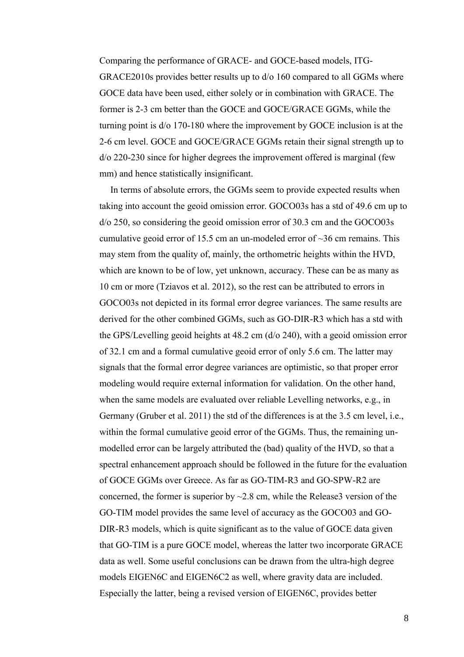Comparing the performance of GRACE- and GOCE-based models, ITG-GRACE2010s provides better results up to d/o 160 compared to all GGMs where GOCE data have been used, either solely or in combination with GRACE. The former is 2-3 cm better than the GOCE and GOCE/GRACE GGMs, while the turning point is d/o 170-180 where the improvement by GOCE inclusion is at the 2-6 cm level. GOCE and GOCE/GRACE GGMs retain their signal strength up to d/o 220-230 since for higher degrees the improvement offered is marginal (few mm) and hence statistically insignificant.

In terms of absolute errors, the GGMs seem to provide expected results when taking into account the geoid omission error. GOCO03s has a std of 49.6 cm up to d/o 250, so considering the geoid omission error of 30.3 cm and the GOCO03s cumulative geoid error of 15.5 cm an un-modeled error of  $\sim$ 36 cm remains. This may stem from the quality of, mainly, the orthometric heights within the HVD, which are known to be of low, yet unknown, accuracy. These can be as many as 10 cm or more (Tziavos et al. 2012), so the rest can be attributed to errors in GOCO03s not depicted in its formal error degree variances. The same results are derived for the other combined GGMs, such as GO-DIR-R3 which has a std with the GPS/Levelling geoid heights at 48.2 cm (d/o 240), with a geoid omission error of 32.1 cm and a formal cumulative geoid error of only 5.6 cm. The latter may signals that the formal error degree variances are optimistic, so that proper error modeling would require external information for validation. On the other hand, when the same models are evaluated over reliable Levelling networks, e.g., in Germany (Gruber et al. 2011) the std of the differences is at the 3.5 cm level, i.e., within the formal cumulative geoid error of the GGMs. Thus, the remaining unmodelled error can be largely attributed the (bad) quality of the HVD, so that a spectral enhancement approach should be followed in the future for the evaluation of GOCE GGMs over Greece. As far as GO-TIM-R3 and GO-SPW-R2 are concerned, the former is superior by  $\sim$  2.8 cm, while the Release 3 version of the GO-TIM model provides the same level of accuracy as the GOCO03 and GO-DIR-R3 models, which is quite significant as to the value of GOCE data given that GO-TIM is a pure GOCE model, whereas the latter two incorporate GRACE data as well. Some useful conclusions can be drawn from the ultra-high degree models EIGEN6C and EIGEN6C2 as well, where gravity data are included. Especially the latter, being a revised version of EIGEN6C, provides better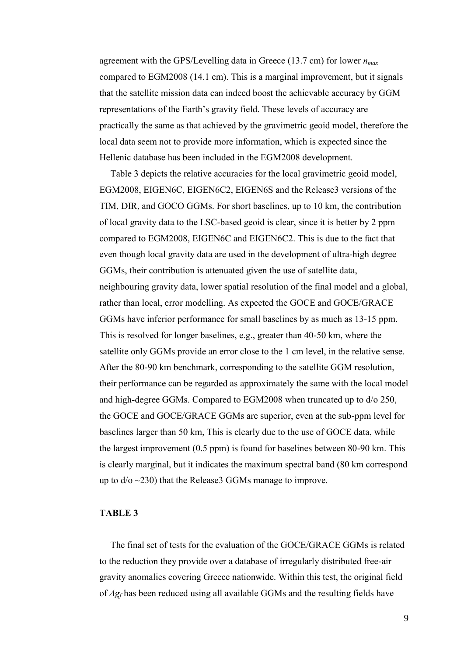agreement with the GPS/Levelling data in Greece (13.7 cm) for lower *nmax* compared to EGM2008 (14.1 cm). This is a marginal improvement, but it signals that the satellite mission data can indeed boost the achievable accuracy by GGM representations of the Earth's gravity field. These levels of accuracy are practically the same as that achieved by the gravimetric geoid model, therefore the local data seem not to provide more information, which is expected since the Hellenic database has been included in the EGM2008 development.

Table 3 depicts the relative accuracies for the local gravimetric geoid model, EGM2008, EIGEN6C, EIGEN6C2, EIGEN6S and the Release3 versions of the TIM, DIR, and GOCO GGMs. For short baselines, up to 10 km, the contribution of local gravity data to the LSC-based geoid is clear, since it is better by 2 ppm compared to EGM2008, EIGEN6C and EIGEN6C2. This is due to the fact that even though local gravity data are used in the development of ultra-high degree GGMs, their contribution is attenuated given the use of satellite data, neighbouring gravity data, lower spatial resolution of the final model and a global, rather than local, error modelling. As expected the GOCE and GOCE/GRACE GGMs have inferior performance for small baselines by as much as 13-15 ppm. This is resolved for longer baselines, e.g., greater than 40-50 km, where the satellite only GGMs provide an error close to the 1 cm level, in the relative sense. After the 80-90 km benchmark, corresponding to the satellite GGM resolution, their performance can be regarded as approximately the same with the local model and high-degree GGMs. Compared to EGM2008 when truncated up to d/o 250, the GOCE and GOCE/GRACE GGMs are superior, even at the sub-ppm level for baselines larger than 50 km, This is clearly due to the use of GOCE data, while the largest improvement (0.5 ppm) is found for baselines between 80-90 km. This is clearly marginal, but it indicates the maximum spectral band (80 km correspond up to  $d/\sigma \sim 230$ ) that the Release GGMs manage to improve.

#### **TABLE 3**

The final set of tests for the evaluation of the GOCE/GRACE GGMs is related to the reduction they provide over a database of irregularly distributed free-air gravity anomalies covering Greece nationwide. Within this test, the original field of *Δg<sup>f</sup>* has been reduced using all available GGMs and the resulting fields have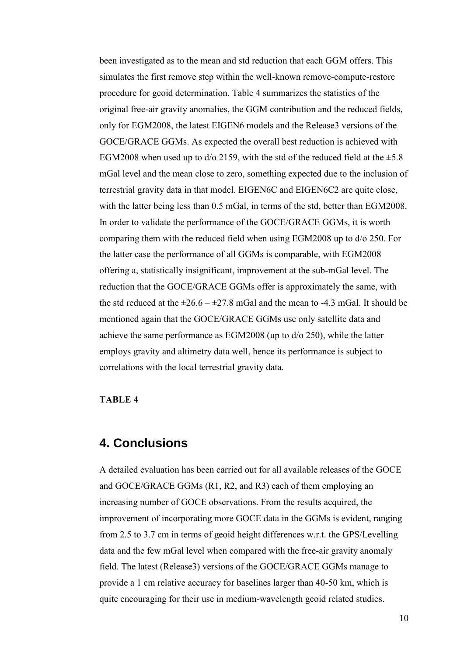been investigated as to the mean and std reduction that each GGM offers. This simulates the first remove step within the well-known remove-compute-restore procedure for geoid determination. Table 4 summarizes the statistics of the original free-air gravity anomalies, the GGM contribution and the reduced fields, only for EGM2008, the latest EIGEN6 models and the Release3 versions of the GOCE/GRACE GGMs. As expected the overall best reduction is achieved with EGM2008 when used up to  $d$ /o 2159, with the std of the reduced field at the  $\pm$ 5.8 mGal level and the mean close to zero, something expected due to the inclusion of terrestrial gravity data in that model. EIGEN6C and EIGEN6C2 are quite close, with the latter being less than 0.5 mGal, in terms of the std, better than EGM2008. In order to validate the performance of the GOCE/GRACE GGMs, it is worth comparing them with the reduced field when using EGM2008 up to d/o 250. For the latter case the performance of all GGMs is comparable, with EGM2008 offering a, statistically insignificant, improvement at the sub-mGal level. The reduction that the GOCE/GRACE GGMs offer is approximately the same, with the std reduced at the  $\pm 26.6 - \pm 27.8$  mGal and the mean to -4.3 mGal. It should be mentioned again that the GOCE/GRACE GGMs use only satellite data and achieve the same performance as EGM2008 (up to d/o 250), while the latter employs gravity and altimetry data well, hence its performance is subject to correlations with the local terrestrial gravity data.

#### **TABLE 4**

### **4. Conclusions**

A detailed evaluation has been carried out for all available releases of the GOCE and GOCE/GRACE GGMs (R1, R2, and R3) each of them employing an increasing number of GOCE observations. From the results acquired, the improvement of incorporating more GOCE data in the GGMs is evident, ranging from 2.5 to 3.7 cm in terms of geoid height differences w.r.t. the GPS/Levelling data and the few mGal level when compared with the free-air gravity anomaly field. The latest (Release3) versions of the GOCE/GRACE GGMs manage to provide a 1 cm relative accuracy for baselines larger than 40-50 km, which is quite encouraging for their use in medium-wavelength geoid related studies.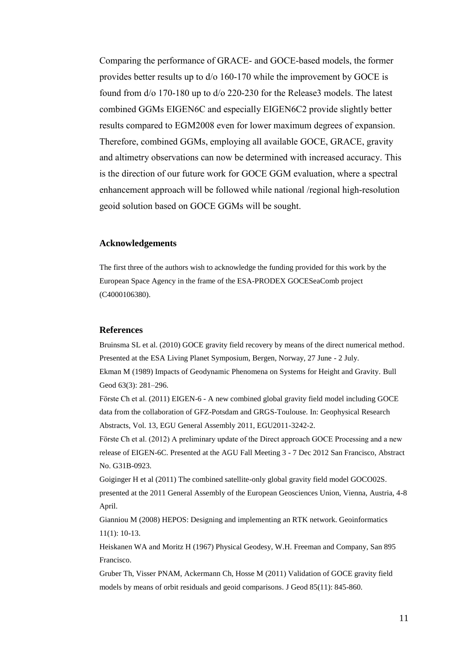Comparing the performance of GRACE- and GOCE-based models, the former provides better results up to d/o 160-170 while the improvement by GOCE is found from d/o 170-180 up to d/o 220-230 for the Release3 models. The latest combined GGMs EIGEN6C and especially EIGEN6C2 provide slightly better results compared to EGM2008 even for lower maximum degrees of expansion. Therefore, combined GGMs, employing all available GOCE, GRACE, gravity and altimetry observations can now be determined with increased accuracy. This is the direction of our future work for GOCE GGM evaluation, where a spectral enhancement approach will be followed while national /regional high-resolution geoid solution based on GOCE GGMs will be sought.

#### **Acknowledgements**

The first three of the authors wish to acknowledge the funding provided for this work by the European Space Agency in the frame of the ESA-PRODEX GOCESeaComb project (C4000106380).

#### **References**

Bruinsma SL et al. (2010) GOCE gravity field recovery by means of the direct numerical method. Presented at the ESA Living Planet Symposium, Bergen, Norway, 27 June - 2 July. Ekman M (1989) Impacts of Geodynamic Phenomena on Systems for Height and Gravity. Bull Geod 63(3): 281–296.

Förste Ch et al. (2011) EIGEN-6 - A new combined global gravity field model including GOCE data from the collaboration of GFZ-Potsdam and GRGS-Toulouse. In: Geophysical Research Abstracts, Vol. 13, EGU General Assembly 2011, EGU2011-3242-2.

Förste Ch et al. (2012) A preliminary update of the Direct approach GOCE Processing and a new release of EIGEN-6C. Presented at the AGU Fall Meeting 3 - 7 Dec 2012 San Francisco, Abstract No. G31B-0923.

Goiginger H et al (2011) The combined satellite-only global gravity field model GOCO02S. presented at the 2011 General Assembly of the European Geosciences Union, Vienna, Austria, 4-8 April.

Gianniou M (2008) HEPOS: Designing and implementing an RTK network. Geoinformatics 11(1): 10-13.

Heiskanen WA and Moritz H (1967) Physical Geodesy, W.H. Freeman and Company, San 895 Francisco.

Gruber Th, Visser PNAM, Ackermann Ch, Hosse M (2011) Validation of GOCE gravity field models by means of orbit residuals and geoid comparisons. J Geod 85(11): 845-860.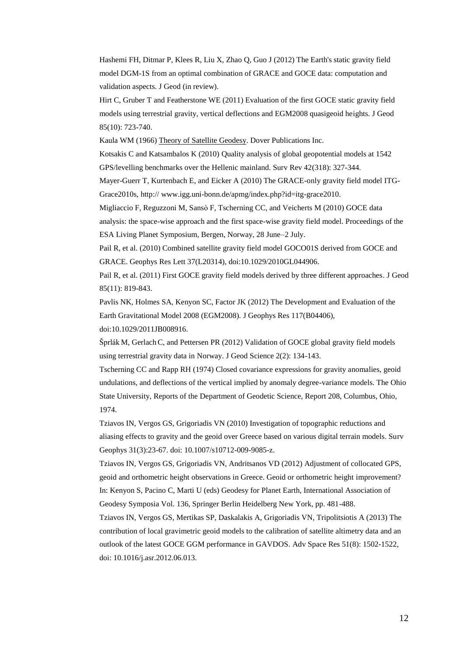Hashemi FH, Ditmar P, Klees R, Liu X, Zhao Q, Guo J (2012) The Earth's static gravity field model DGM-1S from an optimal combination of GRACE and GOCE data: computation and validation aspects. J Geod (in review).

Hirt C, Gruber T and Featherstone WE (2011) Evaluation of the first GOCE static gravity field models using terrestrial gravity, vertical deflections and EGM2008 quasigeoid heights. J Geod 85(10): 723-740.

Kaula WM (1966) Theory of Satellite Geodesy. Dover Publications Inc.

Kotsakis C and Katsambalos K (2010) Quality analysis of global geopotential models at 1542 GPS/levelling benchmarks over the Hellenic mainland. Surv Rev 42(318): 327-344.

Mayer-Guerr T, Kurtenbach E, and Eicker A (2010) The GRACE-only gravity field model ITG-Grace2010s, http:// www.igg.uni-bonn.de/apmg/index.php?id=itg-grace2010.

Migliaccio F, Reguzzoni M, Sansò F, Tscherning CC, and Veicherts M (2010) GOCE data analysis: the space-wise approach and the first space-wise gravity field model. Proceedings of the ESA Living Planet Symposium, Bergen, Norway, 28 June–2 July.

Pail R, et al. (2010) Combined satellite gravity field model GOCO01S derived from GOCE and GRACE. Geophys Res Lett 37(L20314), doi:10.1029/2010GL044906.

Pail R, et al. (2011) First GOCE gravity field models derived by three different approaches. J Geod 85(11): 819-843.

Pavlis NK, Holmes SA, Kenyon SC, Factor JK (2012) The Development and Evaluation of the Earth Gravitational Model 2008 (EGM2008). J Geophys Res 117(B04406),

doi:10.1029/2011JB008916.

Šprlák M, Gerlach C, and Pettersen PR (2012) Validation of GOCE global gravity field models using terrestrial gravity data in Norway. J Geod Science 2(2): 134-143.

Tscherning CC and Rapp RH (1974) Closed covariance expressions for gravity anomalies, geoid undulations, and deflections of the vertical implied by anomaly degree-variance models. The Ohio State University, Reports of the Department of Geodetic Science, Report 208, Columbus, Ohio, 1974.

Tziavos IN, Vergos GS, Grigoriadis VN (2010) Investigation of topographic reductions and aliasing effects to gravity and the geoid over Greece based on various digital terrain models. Surv Geophys 31(3):23-67. doi: 10.1007/s10712-009-9085-z.

Tziavos IN, Vergos GS, Grigoriadis VN, Andritsanos VD (2012) Adjustment of collocated GPS, geoid and orthometric height observations in Greece. Geoid or orthometric height improvement? In: Kenyon S, Pacino C, Marti U (eds) Geodesy for Planet Earth, International Association of Geodesy Symposia Vol. 136, Springer Berlin Heidelberg New York, pp. 481-488.

Tziavos IN, Vergos GS, Mertikas SP, Daskalakis A, Grigoriadis VN, Tripolitsiotis A (2013) The contribution of local gravimetric geoid models to the calibration of satellite altimetry data and an outlook of the latest GOCE GGM performance in GAVDOS. Adv Space Res 51(8): 1502-1522, doi: 10.1016/j.asr.2012.06.013.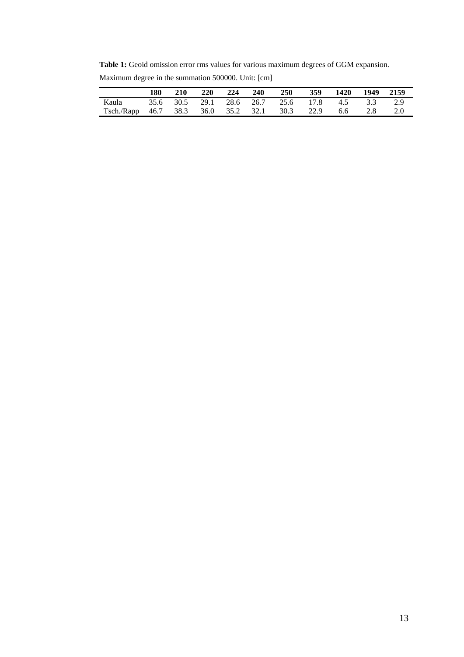**Table 1:** Geoid omission error rms values for various maximum degrees of GGM expansion.

|                                               | 180 | <b>210</b> | 220 224 240 | 250                                        | 359 | 1420 | 1949 | 2159 |
|-----------------------------------------------|-----|------------|-------------|--------------------------------------------|-----|------|------|------|
| Kaula                                         |     |            |             | 35.6 30.5 29.1 28.6 26.7 25.6 17.8 4.5 3.3 |     |      |      | 2.9  |
| Tsch./Rapp 46.7 38.3 36.0 35.2 32.1 30.3 22.9 |     |            |             |                                            |     | 6.6  | 2.8  | -2.0 |

Maximum degree in the summation 500000. Unit: [cm]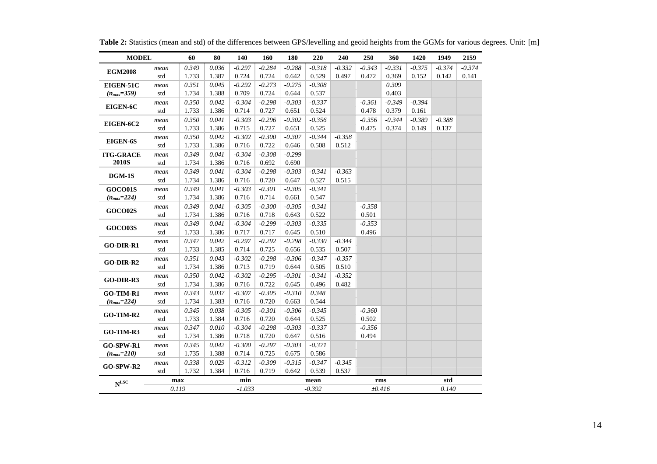| <b>MODEL</b>     |       | 60    | 80       | 140      | 160      | 180      | 220      | 240      | 250      | 360      | 1420     | 1949     | 2159     |
|------------------|-------|-------|----------|----------|----------|----------|----------|----------|----------|----------|----------|----------|----------|
|                  | mean  | 0.349 | 0.036    | $-0.297$ | $-0.284$ | $-0.288$ | $-0.318$ | $-0.332$ | $-0.343$ | $-0.331$ | $-0.375$ | $-0.374$ | $-0.374$ |
| <b>EGM2008</b>   | std   | 1.733 | 1.387    | 0.724    | 0.724    | 0.642    | 0.529    | 0.497    | 0.472    | 0.369    | 0.152    | 0.142    | 0.141    |
| EIGEN-51C        | mean  | 0.351 | 0.045    | $-0.292$ | $-0.273$ | $-0.275$ | $-0.308$ |          |          | 0.309    |          |          |          |
| $(n_{max}=359)$  | std   | 1.734 | 1.388    | 0.709    | 0.724    | 0.644    | 0.537    |          |          | 0.403    |          |          |          |
| EIGEN-6C         | mean  | 0.350 | 0.042    | $-0.304$ | $-0.298$ | $-0.303$ | $-0.337$ |          | $-0.361$ | $-0.349$ | $-0.394$ |          |          |
|                  | std   | 1.733 | 1.386    | 0.714    | 0.727    | 0.651    | 0.524    |          | 0.478    | 0.379    | 0.161    |          |          |
| EIGEN-6C2        | mean  | 0.350 | 0.041    | $-0.303$ | $-0.296$ | $-0.302$ | $-0.356$ |          | $-0.356$ | $-0.344$ | $-0.389$ | $-0.388$ |          |
|                  | std   | 1.733 | 1.386    | 0.715    | 0.727    | 0.651    | 0.525    |          | 0.475    | 0.374    | 0.149    | 0.137    |          |
|                  | mean  | 0.350 | 0.042    | $-0.302$ | $-0.300$ | $-0.307$ | $-0.344$ | $-0.358$ |          |          |          |          |          |
| EIGEN-6S         | std   | 1.733 | 1.386    | 0.716    | 0.722    | 0.646    | 0.508    | 0.512    |          |          |          |          |          |
| <b>ITG-GRACE</b> | mean  | 0.349 | 0.041    | $-0.304$ | $-0.308$ | $-0.299$ |          |          |          |          |          |          |          |
| <b>2010S</b>     | std   | 1.734 | 1.386    | 0.716    | 0.692    | 0.690    |          |          |          |          |          |          |          |
|                  | mean  | 0.349 | 0.041    | $-0.304$ | $-0.298$ | $-0.303$ | $-0.341$ | $-0.363$ |          |          |          |          |          |
| $DGM-1S$         | std   | 1.734 | 1.386    | 0.716    | 0.720    | 0.647    | 0.527    | 0.515    |          |          |          |          |          |
| GOCO01S          | mean  | 0.349 | 0.041    | $-0.303$ | $-0.301$ | $-0.305$ | $-0.341$ |          |          |          |          |          |          |
| $(n_{max}=224)$  | std   | 1.734 | 1.386    | 0.716    | 0.714    | 0.661    | 0.547    |          |          |          |          |          |          |
| <b>GOCO02S</b>   | mean  | 0.349 | 0.041    | $-0.305$ | $-0.300$ | $-0.305$ | $-0.341$ |          | $-0.358$ |          |          |          |          |
|                  | std   | 1.734 | 1.386    | 0.716    | 0.718    | 0.643    | 0.522    |          | 0.501    |          |          |          |          |
| <b>GOCO03S</b>   | mean  | 0.349 | 0.041    | $-0.304$ | $-0.299$ | $-0.303$ | $-0.335$ |          | $-0.353$ |          |          |          |          |
|                  | std   | 1.733 | 1.386    | 0.717    | 0.717    | 0.645    | 0.510    |          | 0.496    |          |          |          |          |
| GO-DIR-R1        | mean  | 0.347 | 0.042    | $-0.297$ | $-0.292$ | $-0.298$ | $-0.330$ | $-0.344$ |          |          |          |          |          |
|                  | std   | 1.733 | 1.385    | 0.714    | 0.725    | 0.656    | 0.535    | 0.507    |          |          |          |          |          |
| GO-DIR-R2        | mean  | 0.351 | 0.043    | $-0.302$ | $-0.298$ | $-0.306$ | $-0.347$ | $-0.357$ |          |          |          |          |          |
|                  | std   | 1.734 | 1.386    | 0.713    | 0.719    | 0.644    | 0.505    | 0.510    |          |          |          |          |          |
| GO-DIR-R3        | mean  | 0.350 | 0.042    | $-0.302$ | $-0.295$ | $-0.301$ | $-0.341$ | $-0.352$ |          |          |          |          |          |
|                  | std   | 1.734 | 1.386    | 0.716    | 0.722    | 0.645    | 0.496    | 0.482    |          |          |          |          |          |
| GO-TIM-R1        | mean  | 0.343 | 0.037    | $-0.307$ | $-0.305$ | $-0.310$ | 0.348    |          |          |          |          |          |          |
| $(n_{max}=224)$  | std   | 1.734 | 1.383    | 0.716    | 0.720    | 0.663    | 0.544    |          |          |          |          |          |          |
| GO-TIM-R2        | mean  | 0.345 | 0.038    | $-0.305$ | $-0.301$ | $-0.306$ | $-0.345$ |          | $-0.360$ |          |          |          |          |
|                  | std   | 1.733 | 1.384    | 0.716    | 0.720    | 0.644    | 0.525    |          | 0.502    |          |          |          |          |
| GO-TIM-R3        | mean  | 0.347 | 0.010    | $-0.304$ | $-0.298$ | $-0.303$ | $-0.337$ |          | $-0.356$ |          |          |          |          |
|                  | std   | 1.734 | 1.386    | 0.718    | 0.720    | 0.647    | 0.516    |          | 0.494    |          |          |          |          |
| <b>GO-SPW-R1</b> | mean  | 0.345 | 0.042    | $-0.300$ | $-0.297$ | $-0.303$ | $-0.371$ |          |          |          |          |          |          |
| $(n_{max}=210)$  | std   | 1.735 | 1.388    | 0.714    | 0.725    | 0.675    | 0.586    |          |          |          |          |          |          |
| GO-SPW-R2        | mean  | 0.338 | 0.029    | $-0.312$ | $-0.309$ | $-0.315$ | $-0.347$ | $-0.345$ |          |          |          |          |          |
|                  | std   | 1.732 | 1.384    | 0.716    | 0.719    | 0.642    | 0.539    | 0.537    |          |          |          |          |          |
| $N^{\text{LSC}}$ |       | max   |          | min      |          | mean     |          |          | rms      |          |          | std      |          |
|                  | 0.119 |       | $-1.033$ |          | $-0.392$ |          |          | ±0.416   |          |          | 0.140    |          |          |

**Table 2:** Statistics (mean and std) of the differences between GPS/levelling and geoid heights from the GGMs for various degrees. Unit: [m]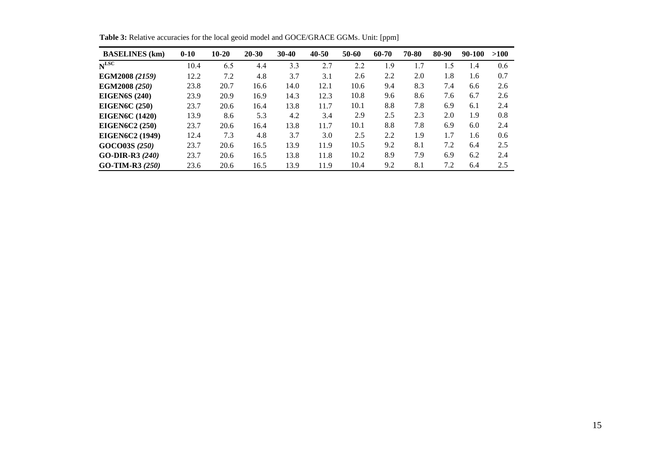| <b>BASELINES</b> (km)  | $0 - 10$ | $10-20$ | $20 - 30$ | $30-40$ | 40-50 | 50-60 | 60-70 | 70-80 | 80-90 | $90-100$ | >100 |
|------------------------|----------|---------|-----------|---------|-------|-------|-------|-------|-------|----------|------|
| $N$ <sub>LSC</sub>     | 10.4     | 6.5     | 4.4       | 3.3     | 2.7   | 2.2   | 1.9   | l.7   | . . 5 | 1.4      | 0.6  |
| EGM2008 (2159)         | 12.2     | 7.2     | 4.8       | 3.7     | 3.1   | 2.6   | 2.2   | 2.0   | 1.8   | 1.6      | 0.7  |
| <b>EGM2008 (250)</b>   | 23.8     | 20.7    | 16.6      | 14.0    | 12.1  | 10.6  | 9.4   | 8.3   | 7.4   | 6.6      | 2.6  |
| <b>EIGEN6S</b> (240)   | 23.9     | 20.9    | 16.9      | 14.3    | 12.3  | 10.8  | 9.6   | 8.6   | 7.6   | 6.7      | 2.6  |
| <b>EIGEN6C</b> (250)   | 23.7     | 20.6    | 16.4      | 13.8    | 11.7  | 10.1  | 8.8   | 7.8   | 6.9   | 6.1      | 2.4  |
| <b>EIGEN6C</b> (1420)  | 13.9     | 8.6     | 5.3       | 4.2     | 3.4   | 2.9   | 2.5   | 2.3   | 2.0   | 1.9      | 0.8  |
| <b>EIGEN6C2 (250)</b>  | 23.7     | 20.6    | 16.4      | 13.8    | 11.7  | 10.1  | 8.8   | 7.8   | 6.9   | 6.0      | 2.4  |
| <b>EIGEN6C2</b> (1949) | 12.4     | 7.3     | 4.8       | 3.7     | 3.0   | 2.5   | 2.2   | 1.9   | 1.7   | 1.6      | 0.6  |
| GOCO03S (250)          | 23.7     | 20.6    | 16.5      | 13.9    | 11.9  | 10.5  | 9.2   | 8.1   | 7.2   | 6.4      | 2.5  |
| GO-DIR-R3 $(240)$      | 23.7     | 20.6    | 16.5      | 13.8    | 11.8  | 10.2  | 8.9   | 7.9   | 6.9   | 6.2      | 2.4  |
| $GO-TIM-R3 (250)$      | 23.6     | 20.6    | 16.5      | 13.9    | 11.9  | 10.4  | 9.2   | 8.1   | 7.2   | 6.4      | 2.5  |

Table 3: Relative accuracies for the local geoid model and GOCE/GRACE GGMs. Unit: [ppm]